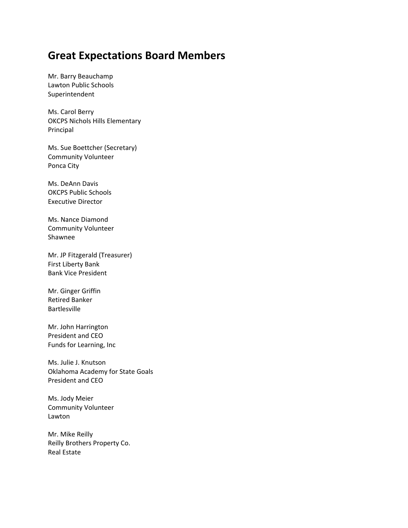## **Great Expectations Board Members**

Mr. Barry Beauchamp Lawton Public Schools Superintendent

Ms. Carol Berry OKCPS Nichols Hills Elementary Principal

Ms. Sue Boettcher (Secretary) Community Volunteer Ponca City

Ms. DeAnn Davis OKCPS Public Schools Executive Director

Ms. Nance Diamond Community Volunteer Shawnee

Mr. JP Fitzgerald (Treasurer) First Liberty Bank Bank Vice President

Mr. Ginger Griffin Retired Banker Bartlesville

Mr. John Harrington President and CEO Funds for Learning, Inc

Ms. Julie J. Knutson Oklahoma Academy for State Goals President and CEO

Ms. Jody Meier Community Volunteer Lawton

Mr. Mike Reilly Reilly Brothers Property Co. Real Estate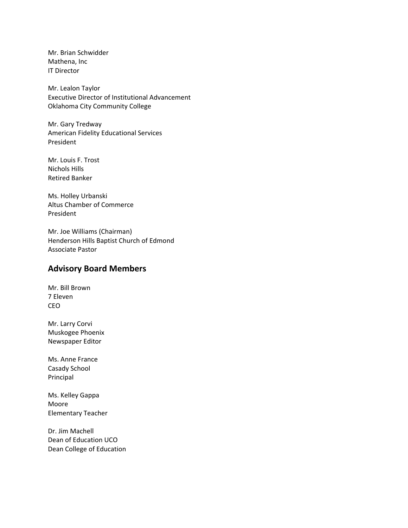Mr. Brian Schwidder Mathena, Inc IT Director

Mr. Lealon Taylor Executive Director of Institutional Advancement Oklahoma City Community College

Mr. Gary Tredway American Fidelity Educational Services President

Mr. Louis F. Trost Nichols Hills Retired Banker

Ms. Holley Urbanski Altus Chamber of Commerce President

Mr. Joe Williams (Chairman) Henderson Hills Baptist Church of Edmond Associate Pastor

## **Advisory Board Members**

Mr. Bill Brown 7 Eleven CEO

Mr. Larry Corvi Muskogee Phoenix Newspaper Editor

Ms. Anne France Casady School Principal

Ms. Kelley Gappa Moore Elementary Teacher

Dr. Jim Machell Dean of Education UCO Dean College of Education